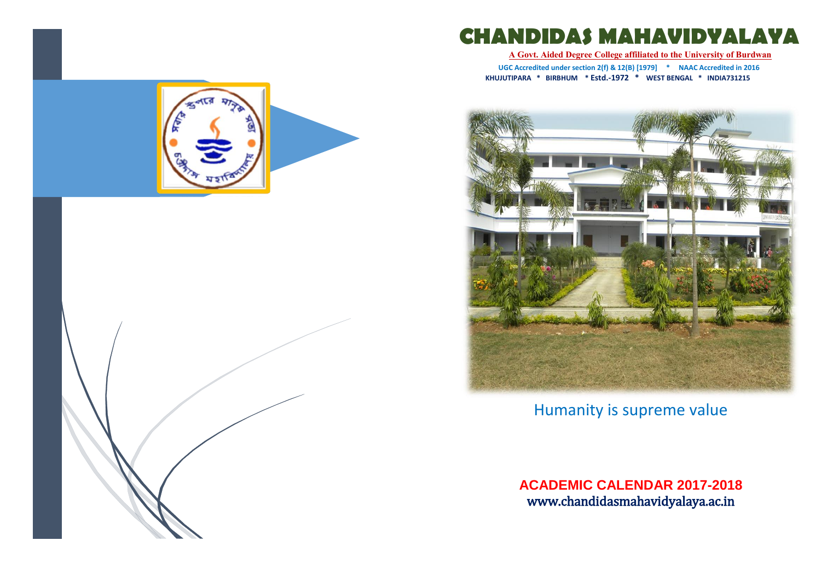

**A Govt. Aided Degree College affiliated to the University of Burdwan**

**UGC Accredited under section 2(f) & 12(B) [1979] \* NAAC Accredited in 2016 KHUJUTIPARA \* BIRBHUM \* Estd.-1972 \* WEST BENGAL \* INDIA731215**



Humanity is supreme value

**ACADEMIC CALENDAR 2017-2018** www.chandidasmahavidyalaya.ac.in



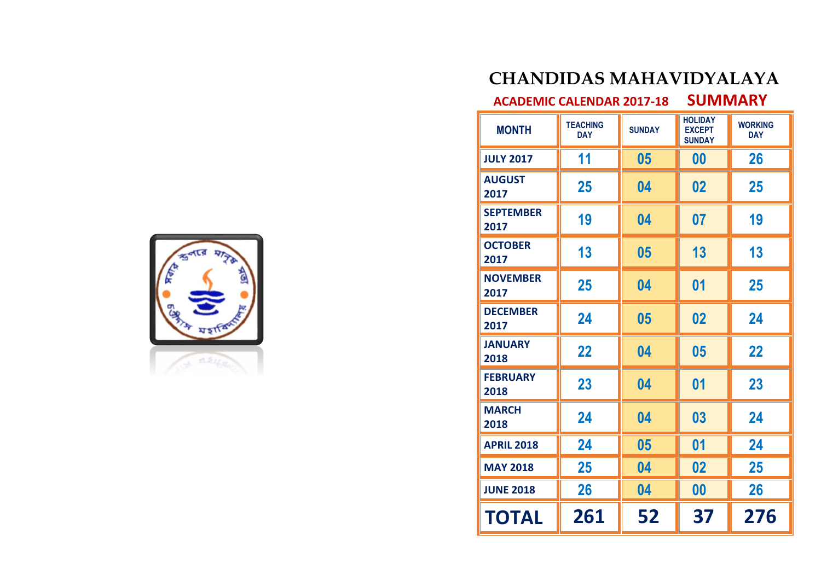# $23.51$

#### **CHANDIDAS MAHAVIDYALAYA**

**ACADEMIC CALENDAR 2017-18 SUMMARY**

| <b>MONTH</b>             | <b>TEACHING</b><br><b>DAY</b> | <b>SUNDAY</b> | <b>HOLIDAY</b><br><b>EXCEPT</b><br><b>SUNDAY</b> | <b>WORKING</b><br><b>DAY</b> |
|--------------------------|-------------------------------|---------------|--------------------------------------------------|------------------------------|
| <b>JULY 2017</b>         | 11                            | 05            | 00                                               | 26                           |
| <b>AUGUST</b><br>2017    | 25                            | 04            | 02                                               | 25                           |
| <b>SEPTEMBER</b><br>2017 | 19                            | 04            | 07                                               | 19                           |
| <b>OCTOBER</b><br>2017   | 13                            | 05            | 13                                               | 13                           |
| <b>NOVEMBER</b><br>2017  | 25                            | 04            | 01                                               | 25                           |
| <b>DECEMBER</b><br>2017  | 24                            | 05            | 02                                               | 24                           |
| <b>JANUARY</b><br>2018   | 22                            | 04            | 05                                               | 22                           |
| <b>FEBRUARY</b><br>2018  | 23                            | 04            | 01                                               | 23                           |
| <b>MARCH</b><br>2018     | 24                            | 04            | 03                                               | 24                           |
| <b>APRIL 2018</b>        | 24                            | 05            | 01                                               | 24                           |
| <b>MAY 2018</b>          | 25                            | 04            | 02                                               | 25                           |
| <b>JUNE 2018</b>         | 26                            | 04            | 00                                               | 26                           |
| TOTAL                    | 261                           | 52            | 37                                               | 276                          |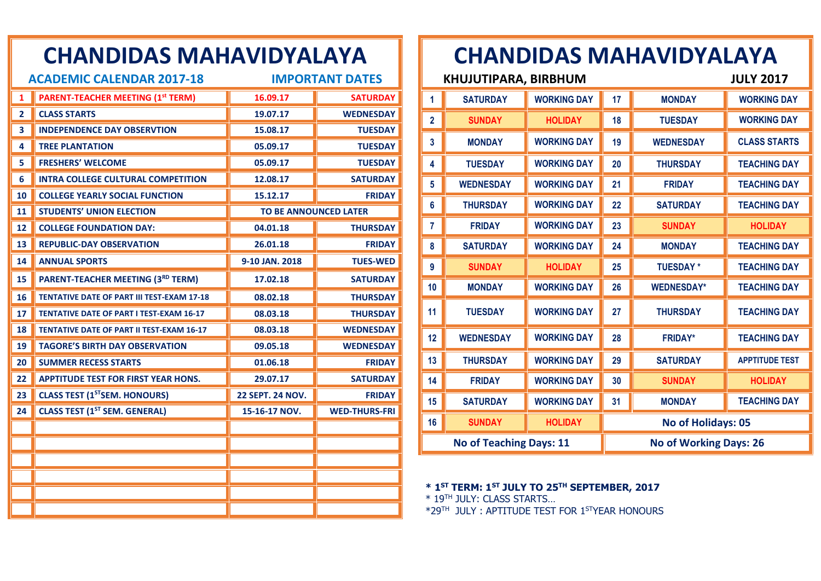|                | <b>CHANDIDAS MAHAVIDYALAYA</b>                    |                              |                        |
|----------------|---------------------------------------------------|------------------------------|------------------------|
|                | <b>ACADEMIC CALENDAR 2017-18</b>                  |                              | <b>IMPORTANT DATES</b> |
| 1              | <b>PARENT-TEACHER MEETING (1st TERM)</b>          | 16.09.17                     | <b>SATURDAY</b>        |
| $\overline{2}$ | <b>CLASS STARTS</b>                               | 19.07.17                     | <b>WEDNESDAY</b>       |
| 3.             | <b>INDEPENDENCE DAY OBSERVTION</b>                | 15.08.17                     | <b>TUESDAY</b>         |
| 4              | <b>TREE PLANTATION</b>                            | 05.09.17                     | <b>TUESDAY</b>         |
| 5              | <b>FRESHERS' WELCOME</b>                          | 05.09.17                     | <b>TUESDAY</b>         |
| 6              | <b>INTRA COLLEGE CULTURAL COMPETITION</b>         | 12.08.17                     | <b>SATURDAY</b>        |
| 10             | <b>COLLEGE YEARLY SOCIAL FUNCTION</b>             | 15.12.17                     | <b>FRIDAY</b>          |
| 11             | <b>STUDENTS' UNION ELECTION</b>                   | <b>TO BE ANNOUNCED LATER</b> |                        |
| 12             | <b>COLLEGE FOUNDATION DAY:</b>                    | 04.01.18                     | <b>THURSDAY</b>        |
| 13             | <b>REPUBLIC-DAY OBSERVATION</b>                   | 26.01.18                     | <b>FRIDAY</b>          |
| 14             | <b>ANNUAL SPORTS</b>                              | 9-10 JAN. 2018               | <b>TUES-WED</b>        |
| 15             | PARENT-TEACHER MEETING (3RD TERM)                 | 17.02.18                     | <b>SATURDAY</b>        |
| 16             | <b>TENTATIVE DATE OF PART III TEST-EXAM 17-18</b> | 08.02.18                     | <b>THURSDAY</b>        |
| 17             | <b>TENTATIVE DATE OF PART I TEST-EXAM 16-17</b>   | 08.03.18                     | <b>THURSDAY</b>        |
| 18             | <b>TENTATIVE DATE OF PART II TEST-EXAM 16-17</b>  | 08.03.18                     | <b>WEDNESDAY</b>       |
| 19             | <b>TAGORE'S BIRTH DAY OBSERVATION</b>             | 09.05.18                     | <b>WEDNESDAY</b>       |
| 20             | <b>SUMMER RECESS STARTS</b>                       | 01.06.18                     | <b>FRIDAY</b>          |
| 22.            | <b>APPTITUDE TEST FOR FIRST YEAR HONS.</b>        | 29.07.17                     | <b>SATURDAY</b>        |
| 23.            | <b>CLASS TEST (1<sup>ST</sup>SEM. HONOURS)</b>    | <b>22 SEPT. 24 NOV.</b>      | <b>FRIDAY</b>          |
| 24             | <b>CLASS TEST (1ST SEM. GENERAL)</b>              | 15-16-17 NOV.                | <b>WED-THURS-FRI</b>   |
|                |                                                   |                              |                        |
|                |                                                   |                              |                        |
|                |                                                   |                              |                        |
|                |                                                   |                              |                        |
|                |                                                   |                              |                        |
|                |                                                   |                              |                        |

|                                | <b>KHUJUTIPARA, BIRBHUM</b> |                    |    |                               | <b>JULY 2017</b>      |
|--------------------------------|-----------------------------|--------------------|----|-------------------------------|-----------------------|
| 1                              | <b>SATURDAY</b>             | <b>WORKING DAY</b> | 17 | <b>MONDAY</b>                 | <b>WORKING DAY</b>    |
| 2                              | <b>SUNDAY</b>               | <b>HOLIDAY</b>     | 18 | <b>TUESDAY</b>                | <b>WORKING DAY</b>    |
| 3                              | <b>MONDAY</b>               | <b>WORKING DAY</b> | 19 | <b>WEDNESDAY</b>              | <b>CLASS STARTS</b>   |
| 4                              | <b>TUESDAY</b>              | <b>WORKING DAY</b> | 20 | <b>THURSDAY</b>               | <b>TEACHING DAY</b>   |
| 5                              | <b>WEDNESDAY</b>            | <b>WORKING DAY</b> | 21 | <b>FRIDAY</b>                 | <b>TEACHING DAY</b>   |
| 6                              | <b>THURSDAY</b>             | <b>WORKING DAY</b> | 22 | <b>SATURDAY</b>               | <b>TEACHING DAY</b>   |
| 7                              | <b>FRIDAY</b>               | <b>WORKING DAY</b> | 23 | <b>SUNDAY</b>                 | <b>HOLIDAY</b>        |
| 8                              | <b>SATURDAY</b>             | <b>WORKING DAY</b> | 24 | <b>MONDAY</b>                 | <b>TEACHING DAY</b>   |
| 9                              | <b>SUNDAY</b>               | <b>HOLIDAY</b>     | 25 | <b>TUESDAY*</b>               | <b>TEACHING DAY</b>   |
| 10                             | <b>MONDAY</b>               | <b>WORKING DAY</b> | 26 | <b>WEDNESDAY*</b>             | <b>TEACHING DAY</b>   |
| 11                             | <b>TUESDAY</b>              | <b>WORKING DAY</b> | 27 | <b>THURSDAY</b>               | <b>TEACHING DAY</b>   |
| 12                             | <b>WEDNESDAY</b>            | <b>WORKING DAY</b> | 28 | <b>FRIDAY*</b>                | <b>TEACHING DAY</b>   |
| 13                             | <b>THURSDAY</b>             | <b>WORKING DAY</b> | 29 | <b>SATURDAY</b>               | <b>APPTITUDE TEST</b> |
| 14                             | <b>FRIDAY</b>               | <b>WORKING DAY</b> | 30 | <b>SUNDAY</b>                 | <b>HOLIDAY</b>        |
| 15                             | <b>SATURDAY</b>             | <b>WORKING DAY</b> | 31 | <b>MONDAY</b>                 | <b>TEACHING DAY</b>   |
| 16                             | <b>SUNDAY</b>               | <b>HOLIDAY</b>     |    | <b>No of Holidays: 05</b>     |                       |
| <b>No of Teaching Days: 11</b> |                             |                    |    | <b>No of Working Days: 26</b> |                       |

**\* 1ST TERM: 1ST JULY TO 25TH SEPTEMBER, 2017**

\* 19TH JULY: CLASS STARTS…

\*29TH JULY : APTITUDE TEST FOR 1STYEAR HONOURS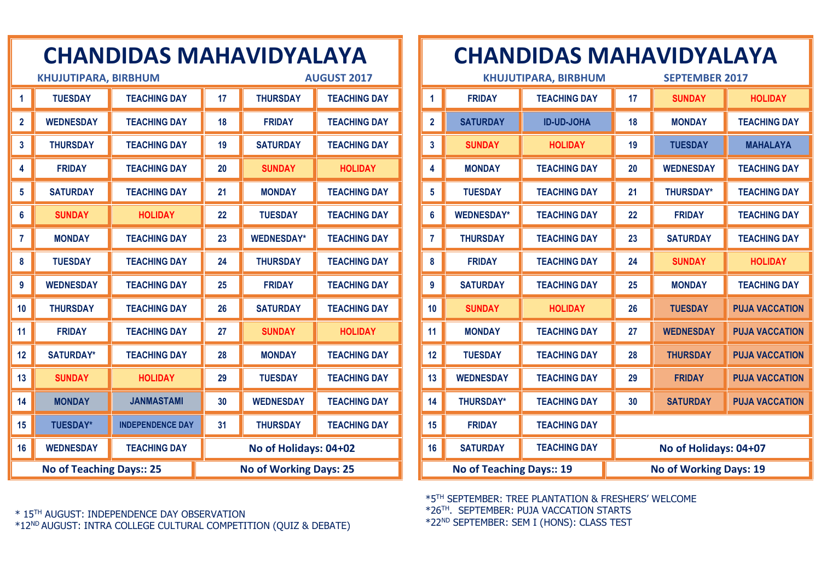|                                 | <b>KHUJUTIPARA, BIRBHUM</b> |                         | <b>AUGUST 2017</b>            |                       |                     |
|---------------------------------|-----------------------------|-------------------------|-------------------------------|-----------------------|---------------------|
| 1                               | <b>TUESDAY</b>              | <b>TEACHING DAY</b>     | 17                            | <b>THURSDAY</b>       | <b>TEACHING DAY</b> |
| $\overline{2}$                  | <b>WEDNESDAY</b>            | <b>TEACHING DAY</b>     | 18                            | <b>FRIDAY</b>         | <b>TEACHING DAY</b> |
| 3                               | <b>THURSDAY</b>             | <b>TEACHING DAY</b>     | 19                            | <b>SATURDAY</b>       | <b>TEACHING DAY</b> |
| 4                               | <b>FRIDAY</b>               | <b>TEACHING DAY</b>     | 20                            | <b>SUNDAY</b>         | <b>HOLIDAY</b>      |
| 5                               | <b>SATURDAY</b>             | <b>TEACHING DAY</b>     | 21                            | <b>MONDAY</b>         | <b>TEACHING DAY</b> |
| 6                               | <b>SUNDAY</b>               | <b>HOLIDAY</b>          | 22                            | <b>TUESDAY</b>        | <b>TEACHING DAY</b> |
| 7                               | <b>MONDAY</b>               | <b>TEACHING DAY</b>     | 23                            | <b>WEDNESDAY*</b>     | <b>TEACHING DAY</b> |
| 8                               | <b>TUESDAY</b>              | <b>TEACHING DAY</b>     | 24                            | <b>THURSDAY</b>       | <b>TEACHING DAY</b> |
| 9                               | <b>WEDNESDAY</b>            | <b>TEACHING DAY</b>     | 25                            | <b>FRIDAY</b>         | <b>TEACHING DAY</b> |
| 10                              | <b>THURSDAY</b>             | <b>TEACHING DAY</b>     | 26                            | <b>SATURDAY</b>       | <b>TEACHING DAY</b> |
| 11                              | <b>FRIDAY</b>               | <b>TEACHING DAY</b>     | 27                            | <b>SUNDAY</b>         | <b>HOLIDAY</b>      |
| 12                              | <b>SATURDAY*</b>            | <b>TEACHING DAY</b>     | 28                            | <b>MONDAY</b>         | <b>TEACHING DAY</b> |
| 13                              | <b>SUNDAY</b>               | <b>HOLIDAY</b>          | 29                            | <b>TUESDAY</b>        | <b>TEACHING DAY</b> |
| 14                              | <b>MONDAY</b>               | <b>JANMASTAMI</b>       | 30                            | <b>WEDNESDAY</b>      | <b>TEACHING DAY</b> |
| 15                              | <b>TUESDAY*</b>             | <b>INDEPENDENCE DAY</b> | 31                            | <b>THURSDAY</b>       | <b>TEACHING DAY</b> |
| 16                              | <b>WEDNESDAY</b>            | <b>TEACHING DAY</b>     |                               | No of Holidays: 04+02 |                     |
| <b>No of Teaching Days:: 25</b> |                             |                         | <b>No of Working Days: 25</b> |                       |                     |

#### **CHANDIDAS MAHAVIDYALAYA**

|                                 |                   | <b>KHUJUTIPARA, BIRBHUM</b> | <b>SEPTEMBER 2017</b> |                               |                       |
|---------------------------------|-------------------|-----------------------------|-----------------------|-------------------------------|-----------------------|
| 1                               | <b>FRIDAY</b>     | <b>TEACHING DAY</b>         | 17                    | <b>SUNDAY</b>                 | <b>HOLIDAY</b>        |
| $\overline{2}$                  | <b>SATURDAY</b>   | <b>ID-UD-JOHA</b>           | 18                    | <b>MONDAY</b>                 | <b>TEACHING DAY</b>   |
| $\overline{\mathbf{3}}$         | <b>SUNDAY</b>     | <b>HOLIDAY</b>              | 19                    | <b>TUESDAY</b>                | <b>MAHALAYA</b>       |
| 4                               | <b>MONDAY</b>     | <b>TEACHING DAY</b>         | 20                    | <b>WEDNESDAY</b>              | <b>TEACHING DAY</b>   |
| 5                               | <b>TUESDAY</b>    | <b>TEACHING DAY</b>         | 21                    | <b>THURSDAY*</b>              | <b>TEACHING DAY</b>   |
| 6                               | <b>WEDNESDAY*</b> | <b>TEACHING DAY</b>         | 22                    | <b>FRIDAY</b>                 | <b>TEACHING DAY</b>   |
| $\overline{7}$                  | <b>THURSDAY</b>   | <b>TEACHING DAY</b>         | 23                    | <b>SATURDAY</b>               | <b>TEACHING DAY</b>   |
| 8                               | <b>FRIDAY</b>     | <b>TEACHING DAY</b>         | 24                    | <b>SUNDAY</b>                 | <b>HOLIDAY</b>        |
| 9                               | <b>SATURDAY</b>   | <b>TEACHING DAY</b>         | 25                    | <b>MONDAY</b>                 | <b>TEACHING DAY</b>   |
| 10                              | <b>SUNDAY</b>     | <b>HOLIDAY</b>              | 26                    | <b>TUESDAY</b>                | <b>PUJA VACCATION</b> |
| 11                              | <b>MONDAY</b>     | <b>TEACHING DAY</b>         | 27                    | <b>WEDNESDAY</b>              | <b>PUJA VACCATION</b> |
| 12                              | <b>TUESDAY</b>    | <b>TEACHING DAY</b>         | 28                    | <b>THURSDAY</b>               | <b>PUJA VACCATION</b> |
| 13                              | <b>WEDNESDAY</b>  | <b>TEACHING DAY</b>         | 29                    | <b>FRIDAY</b>                 | <b>PUJA VACCATION</b> |
| 14                              | <b>THURSDAY*</b>  | <b>TEACHING DAY</b>         | 30                    | <b>SATURDAY</b>               | <b>PUJA VACCATION</b> |
| 15                              | <b>FRIDAY</b>     | <b>TEACHING DAY</b>         |                       |                               |                       |
| 16                              | <b>SATURDAY</b>   | <b>TEACHING DAY</b>         |                       | No of Holidays: 04+07         |                       |
| <b>No of Teaching Days:: 19</b> |                   |                             |                       | <b>No of Working Days: 19</b> |                       |

\*5TH SEPTEMBER: TREE PLANTATION & FRESHERS' WELCOME \*26TH. SEPTEMBER: PUJA VACCATION STARTS \*22ND SEPTEMBER: SEM I (HONS): CLASS TEST

\* 15TH AUGUST: INDEPENDENCE DAY OBSERVATION

\*12ND AUGUST: INTRA COLLEGE CULTURAL COMPETITION (QUIZ & DEBATE)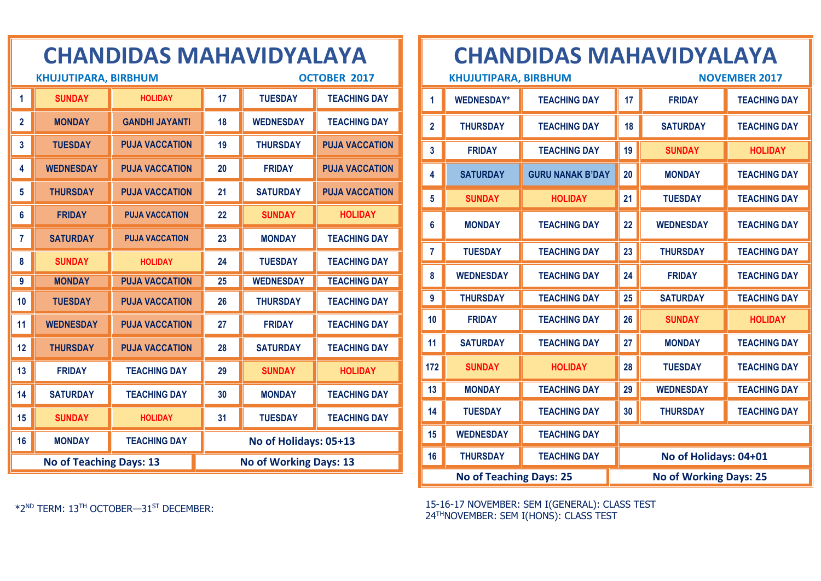|                | <b>KHUJUTIPARA, BIRBHUM</b>    |                       |    |                               | <b>OCTOBER 2017</b>   |
|----------------|--------------------------------|-----------------------|----|-------------------------------|-----------------------|
| 1              | <b>SUNDAY</b>                  | <b>HOLIDAY</b>        | 17 | <b>TUESDAY</b>                | <b>TEACHING DAY</b>   |
| $\overline{2}$ | <b>MONDAY</b>                  | <b>GANDHI JAYANTI</b> | 18 | <b>WEDNESDAY</b>              | <b>TEACHING DAY</b>   |
| 3              | <b>TUESDAY</b>                 | <b>PUJA VACCATION</b> | 19 | <b>THURSDAY</b>               | <b>PUJA VACCATION</b> |
| 4              | <b>WEDNESDAY</b>               | <b>PUJA VACCATION</b> | 20 | <b>FRIDAY</b>                 | <b>PUJA VACCATION</b> |
| 5              | <b>THURSDAY</b>                | <b>PUJA VACCATION</b> | 21 | <b>SATURDAY</b>               | <b>PUJA VACCATION</b> |
| 6              | <b>FRIDAY</b>                  | <b>PUJA VACCATION</b> | 22 | <b>SUNDAY</b>                 | <b>HOLIDAY</b>        |
| 7              | <b>SATURDAY</b>                | <b>PUJA VACCATION</b> | 23 | <b>MONDAY</b>                 | <b>TEACHING DAY</b>   |
| 8              | <b>SUNDAY</b>                  | <b>HOLIDAY</b>        | 24 | <b>TUESDAY</b>                | <b>TEACHING DAY</b>   |
| 9              | <b>MONDAY</b>                  | <b>PUJA VACCATION</b> | 25 | <b>WEDNESDAY</b>              | <b>TEACHING DAY</b>   |
| 10             | <b>TUESDAY</b>                 | <b>PUJA VACCATION</b> | 26 | <b>THURSDAY</b>               | <b>TEACHING DAY</b>   |
| 11             | <b>WEDNESDAY</b>               | <b>PUJA VACCATION</b> | 27 | <b>FRIDAY</b>                 | <b>TEACHING DAY</b>   |
| 12             | <b>THURSDAY</b>                | <b>PUJA VACCATION</b> | 28 | <b>SATURDAY</b>               | <b>TEACHING DAY</b>   |
| 13             | <b>FRIDAY</b>                  | <b>TEACHING DAY</b>   | 29 | <b>SUNDAY</b>                 | <b>HOLIDAY</b>        |
| 14             | <b>SATURDAY</b>                | <b>TEACHING DAY</b>   | 30 | <b>MONDAY</b>                 | <b>TEACHING DAY</b>   |
| 15             | <b>SUNDAY</b>                  | <b>HOLIDAY</b>        | 31 | <b>TUESDAY</b>                | <b>TEACHING DAY</b>   |
| 16             | <b>MONDAY</b>                  | <b>TEACHING DAY</b>   |    | No of Holidays: 05+13         |                       |
|                | <b>No of Teaching Days: 13</b> |                       |    | <b>No of Working Days: 13</b> |                       |

#### **CHANDIDAS MAHAVIDYALAYA**

| <b>KHUJUTIPARA, BIRBHUM</b>    |                   |                         |    | <b>NOVEMBER 2017</b>          |                     |  |
|--------------------------------|-------------------|-------------------------|----|-------------------------------|---------------------|--|
| 1                              | <b>WEDNESDAY*</b> | <b>TEACHING DAY</b>     | 17 | <b>FRIDAY</b>                 | <b>TEACHING DAY</b> |  |
| $\mathbf{2}$                   | <b>THURSDAY</b>   | <b>TEACHING DAY</b>     | 18 | <b>SATURDAY</b>               | <b>TEACHING DAY</b> |  |
| 3                              | <b>FRIDAY</b>     | <b>TEACHING DAY</b>     | 19 | <b>SUNDAY</b>                 | <b>HOLIDAY</b>      |  |
| 4                              | <b>SATURDAY</b>   | <b>GURU NANAK B'DAY</b> | 20 | <b>MONDAY</b>                 | <b>TEACHING DAY</b> |  |
| 5                              | <b>SUNDAY</b>     | <b>HOLIDAY</b>          | 21 | <b>TUESDAY</b>                | <b>TEACHING DAY</b> |  |
| 6                              | <b>MONDAY</b>     | <b>TEACHING DAY</b>     | 22 | <b>WEDNESDAY</b>              | <b>TEACHING DAY</b> |  |
| 7                              | <b>TUESDAY</b>    | <b>TEACHING DAY</b>     | 23 | <b>THURSDAY</b>               | <b>TEACHING DAY</b> |  |
| 8                              | <b>WEDNESDAY</b>  | <b>TEACHING DAY</b>     | 24 | <b>FRIDAY</b>                 | <b>TEACHING DAY</b> |  |
| 9                              | <b>THURSDAY</b>   | <b>TEACHING DAY</b>     | 25 | <b>SATURDAY</b>               | <b>TEACHING DAY</b> |  |
| 10                             | <b>FRIDAY</b>     | <b>TEACHING DAY</b>     | 26 | <b>SUNDAY</b>                 | <b>HOLIDAY</b>      |  |
| 11                             | <b>SATURDAY</b>   | <b>TEACHING DAY</b>     | 27 | <b>MONDAY</b>                 | <b>TEACHING DAY</b> |  |
| 172                            | <b>SUNDAY</b>     | <b>HOLIDAY</b>          | 28 | <b>TUESDAY</b>                | <b>TEACHING DAY</b> |  |
| 13                             | <b>MONDAY</b>     | <b>TEACHING DAY</b>     | 29 | <b>WEDNESDAY</b>              | <b>TEACHING DAY</b> |  |
| 14                             | <b>TUESDAY</b>    | <b>TEACHING DAY</b>     | 30 | <b>THURSDAY</b>               | <b>TEACHING DAY</b> |  |
| 15                             | <b>WEDNESDAY</b>  | <b>TEACHING DAY</b>     |    |                               |                     |  |
| 16                             | <b>THURSDAY</b>   | <b>TEACHING DAY</b>     |    | No of Holidays: 04+01         |                     |  |
| <b>No of Teaching Days: 25</b> |                   |                         |    | <b>No of Working Days: 25</b> |                     |  |

15-16-17 NOVEMBER: SEM I(GENERAL): CLASS TEST THNOVEMBER: SEM I(HONS): CLASS TEST

\*2ND TERM: 13TH OCTOBER—31ST DECEMBER: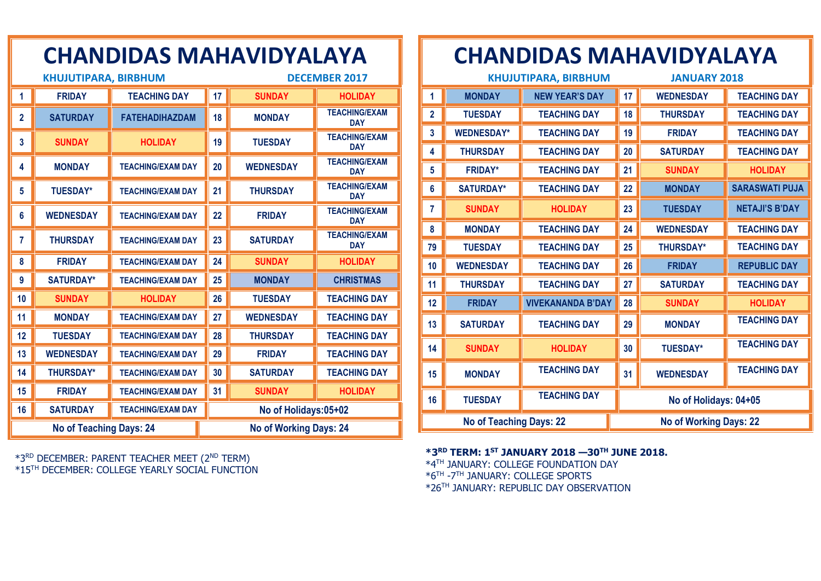| <b>KHUJUTIPARA, BIRBHUM</b>    |                  |                          |    | <b>DECEMBER 2017</b>          |                                    |  |
|--------------------------------|------------------|--------------------------|----|-------------------------------|------------------------------------|--|
| 1                              | <b>FRIDAY</b>    | <b>TEACHING DAY</b>      | 17 | <b>SUNDAY</b>                 | <b>HOLIDAY</b>                     |  |
| $\overline{2}$                 | <b>SATURDAY</b>  | <b>FATEHADIHAZDAM</b>    | 18 | <b>MONDAY</b>                 | <b>TEACHING/EXAM</b><br><b>DAY</b> |  |
| 3                              | <b>SUNDAY</b>    | <b>HOLIDAY</b>           | 19 | <b>TUESDAY</b>                | <b>TEACHING/EXAM</b><br><b>DAY</b> |  |
| 4                              | <b>MONDAY</b>    | <b>TEACHING/EXAM DAY</b> | 20 | <b>WEDNESDAY</b>              | <b>TEACHING/EXAM</b><br><b>DAY</b> |  |
| $5\phantom{.0}$                | <b>TUESDAY*</b>  | <b>TEACHING/EXAM DAY</b> | 21 | <b>THURSDAY</b>               | <b>TEACHING/EXAM</b><br><b>DAY</b> |  |
| 6                              | <b>WEDNESDAY</b> | <b>TEACHING/EXAM DAY</b> | 22 | <b>FRIDAY</b>                 | <b>TEACHING/EXAM</b><br><b>DAY</b> |  |
| 7                              | <b>THURSDAY</b>  | <b>TEACHING/EXAM DAY</b> | 23 | <b>SATURDAY</b>               | <b>TEACHING/EXAM</b><br><b>DAY</b> |  |
| 8                              | <b>FRIDAY</b>    | <b>TEACHING/EXAM DAY</b> | 24 | <b>SUNDAY</b>                 | <b>HOLIDAY</b>                     |  |
| 9                              | <b>SATURDAY*</b> | <b>TEACHING/EXAM DAY</b> | 25 | <b>MONDAY</b>                 | <b>CHRISTMAS</b>                   |  |
| 10                             | <b>SUNDAY</b>    | <b>HOLIDAY</b>           | 26 | <b>TUESDAY</b>                | <b>TEACHING DAY</b>                |  |
| 11                             | <b>MONDAY</b>    | <b>TEACHING/EXAM DAY</b> | 27 | <b>WEDNESDAY</b>              | <b>TEACHING DAY</b>                |  |
| 12                             | <b>TUESDAY</b>   | <b>TEACHING/EXAM DAY</b> | 28 | <b>THURSDAY</b>               | <b>TEACHING DAY</b>                |  |
| 13                             | <b>WEDNESDAY</b> | <b>TEACHING/EXAM DAY</b> | 29 | <b>FRIDAY</b>                 | <b>TEACHING DAY</b>                |  |
| 14                             | <b>THURSDAY*</b> | <b>TEACHING/EXAM DAY</b> | 30 | <b>SATURDAY</b>               | <b>TEACHING DAY</b>                |  |
| 15                             | <b>FRIDAY</b>    | <b>TEACHING/EXAM DAY</b> | 31 | <b>SUNDAY</b>                 | <b>HOLIDAY</b>                     |  |
| 16                             | <b>SATURDAY</b>  | <b>TEACHING/EXAM DAY</b> |    | No of Holidays:05+02          |                                    |  |
| <b>No of Teaching Days: 24</b> |                  |                          |    | <b>No of Working Days: 24</b> |                                    |  |

\*3 RD DECEMBER: PARENT TEACHER MEET (2ND TERM) \*15TH DECEMBER: COLLEGE YEARLY SOCIAL FUNCTION

## **CHANDIDAS MAHAVIDYALAYA**

| <b>KHUJUTIPARA, BIRBHUM</b>    |                   |                          |    | <b>JANUARY 2018</b>           |                       |  |
|--------------------------------|-------------------|--------------------------|----|-------------------------------|-----------------------|--|
| 1                              | <b>MONDAY</b>     | <b>NEW YEAR'S DAY</b>    | 17 | <b>WEDNESDAY</b>              | <b>TEACHING DAY</b>   |  |
| $\overline{2}$                 | <b>TUESDAY</b>    | <b>TEACHING DAY</b>      | 18 | <b>THURSDAY</b>               | <b>TEACHING DAY</b>   |  |
| 3                              | <b>WEDNESDAY*</b> | <b>TEACHING DAY</b>      | 19 | <b>FRIDAY</b>                 | <b>TEACHING DAY</b>   |  |
| 4                              | <b>THURSDAY</b>   | <b>TEACHING DAY</b>      | 20 | <b>SATURDAY</b>               | <b>TEACHING DAY</b>   |  |
| 5                              | <b>FRIDAY*</b>    | <b>TEACHING DAY</b>      | 21 | <b>SUNDAY</b>                 | <b>HOLIDAY</b>        |  |
| 6                              | <b>SATURDAY*</b>  | <b>TEACHING DAY</b>      | 22 | <b>MONDAY</b>                 | <b>SARASWATI PUJA</b> |  |
| 7                              | <b>SUNDAY</b>     | <b>HOLIDAY</b>           | 23 | <b>TUESDAY</b>                | <b>NETAJI'S B'DAY</b> |  |
| 8                              | <b>MONDAY</b>     | <b>TEACHING DAY</b>      | 24 | <b>WEDNESDAY</b>              | <b>TEACHING DAY</b>   |  |
| 79                             | <b>TUESDAY</b>    | <b>TEACHING DAY</b>      | 25 | <b>THURSDAY*</b>              | <b>TEACHING DAY</b>   |  |
| 10                             | <b>WEDNESDAY</b>  | <b>TEACHING DAY</b>      | 26 | <b>FRIDAY</b>                 | <b>REPUBLIC DAY</b>   |  |
| 11                             | <b>THURSDAY</b>   | <b>TEACHING DAY</b>      | 27 | <b>SATURDAY</b>               | <b>TEACHING DAY</b>   |  |
| 12                             | <b>FRIDAY</b>     | <b>VIVEKANANDA B'DAY</b> | 28 | <b>SUNDAY</b>                 | <b>HOLIDAY</b>        |  |
| 13                             | <b>SATURDAY</b>   | <b>TEACHING DAY</b>      | 29 | <b>MONDAY</b>                 | <b>TEACHING DAY</b>   |  |
| 14                             | <b>SUNDAY</b>     | <b>HOLIDAY</b>           | 30 | <b>TUESDAY*</b>               | <b>TEACHING DAY</b>   |  |
| 15                             | <b>MONDAY</b>     | <b>TEACHING DAY</b>      | 31 | <b>WEDNESDAY</b>              | <b>TEACHING DAY</b>   |  |
| 16                             | <b>TUESDAY</b>    | <b>TEACHING DAY</b>      |    | No of Holidays: 04+05         |                       |  |
| <b>No of Teaching Days: 22</b> |                   |                          |    | <b>No of Working Days: 22</b> |                       |  |

**\*3RD TERM: 1ST JANUARY 2018 —30TH JUNE 2018.**

\*4TH JANUARY: COLLEGE FOUNDATION DAY \*6TH -7 TH JANUARY: COLLEGE SPORTS \*26TH JANUARY: REPUBLIC DAY OBSERVATION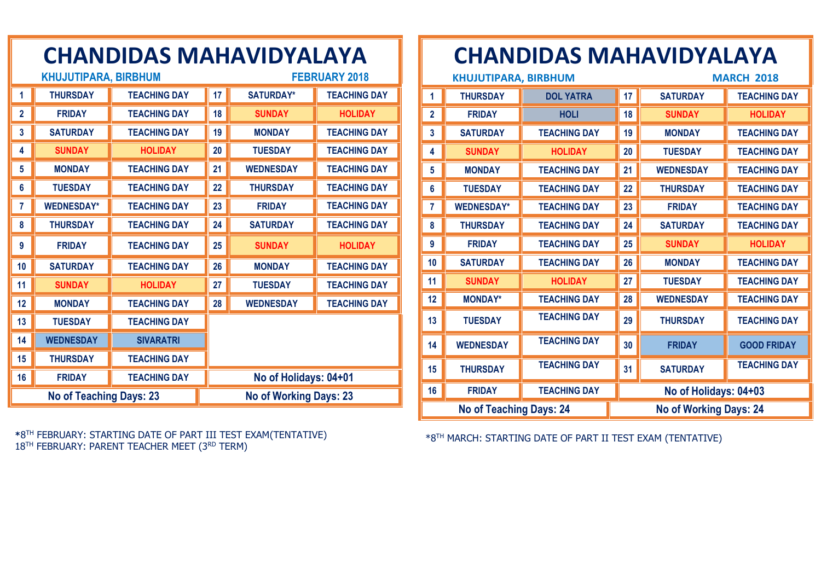| CHANDIDAS MAHAVIDTALATA |                                |                     |    |                               |                     |  |
|-------------------------|--------------------------------|---------------------|----|-------------------------------|---------------------|--|
|                         | <b>KHUJUTIPARA, BIRBHUM</b>    |                     |    | <b>FEBRUARY 2018</b>          |                     |  |
| 1                       | <b>THURSDAY</b>                | <b>TEACHING DAY</b> | 17 | <b>SATURDAY*</b>              | <b>TEACHING DAY</b> |  |
| $\overline{2}$          | <b>FRIDAY</b>                  | <b>TEACHING DAY</b> | 18 | <b>SUNDAY</b>                 | <b>HOLIDAY</b>      |  |
| 3                       | <b>SATURDAY</b>                | <b>TEACHING DAY</b> | 19 | <b>MONDAY</b>                 | <b>TEACHING DAY</b> |  |
| 4                       | <b>SUNDAY</b>                  | <b>HOLIDAY</b>      | 20 | <b>TUESDAY</b>                | <b>TEACHING DAY</b> |  |
| 5                       | <b>MONDAY</b>                  | <b>TEACHING DAY</b> | 21 | <b>WEDNESDAY</b>              | <b>TEACHING DAY</b> |  |
| $6\phantom{1}6$         | <b>TUESDAY</b>                 | <b>TEACHING DAY</b> | 22 | <b>THURSDAY</b>               | <b>TEACHING DAY</b> |  |
| 7                       | <b>WEDNESDAY*</b>              | <b>TEACHING DAY</b> | 23 | <b>FRIDAY</b>                 | <b>TEACHING DAY</b> |  |
| 8                       | <b>THURSDAY</b>                | <b>TEACHING DAY</b> | 24 | <b>SATURDAY</b>               | <b>TEACHING DAY</b> |  |
| 9                       | <b>FRIDAY</b>                  | <b>TEACHING DAY</b> | 25 | <b>SUNDAY</b>                 | <b>HOLIDAY</b>      |  |
| 10                      | <b>SATURDAY</b>                | <b>TEACHING DAY</b> | 26 | <b>MONDAY</b>                 | <b>TEACHING DAY</b> |  |
| 11                      | <b>SUNDAY</b>                  | <b>HOLIDAY</b>      | 27 | <b>TUESDAY</b>                | <b>TEACHING DAY</b> |  |
| 12                      | <b>MONDAY</b>                  | <b>TEACHING DAY</b> | 28 | <b>WEDNESDAY</b>              | <b>TEACHING DAY</b> |  |
| 13                      | <b>TUESDAY</b>                 | <b>TEACHING DAY</b> |    |                               |                     |  |
| 14                      | <b>WEDNESDAY</b>               | <b>SIVARATRI</b>    |    |                               |                     |  |
| 15                      | <b>THURSDAY</b>                | <b>TEACHING DAY</b> |    |                               |                     |  |
| 16                      | <b>FRIDAY</b>                  | <b>TEACHING DAY</b> |    | No of Holidays: 04+01         |                     |  |
|                         | <b>No of Teaching Days: 23</b> |                     |    | <b>No of Working Days: 23</b> |                     |  |

#### **\***8 TH FEBRUARY: STARTING DATE OF PART III TEST EXAM(TENTATIVE) 18<sup>TH</sup> FEBRUARY: PARENT TEACHER MEET (3RD TERM)

## **CHANDIDAS MAHAVIDYALAYA**

| <b>KHUJUTIPARA, BIRBHUM</b> |                                |                     |    | <b>MARCH 2018</b>             |                     |  |
|-----------------------------|--------------------------------|---------------------|----|-------------------------------|---------------------|--|
| 1                           | <b>THURSDAY</b>                | <b>DOL YATRA</b>    | 17 | <b>SATURDAY</b>               | <b>TEACHING DAY</b> |  |
| $\mathbf{2}$                | <b>FRIDAY</b>                  | <b>HOLI</b>         | 18 | <b>SUNDAY</b>                 | <b>HOLIDAY</b>      |  |
| 3                           | <b>SATURDAY</b>                | <b>TEACHING DAY</b> | 19 | <b>MONDAY</b>                 | <b>TEACHING DAY</b> |  |
| 4                           | <b>SUNDAY</b>                  | <b>HOLIDAY</b>      | 20 | <b>TUESDAY</b>                | <b>TEACHING DAY</b> |  |
| 5                           | <b>MONDAY</b>                  | <b>TEACHING DAY</b> | 21 | <b>WEDNESDAY</b>              | <b>TEACHING DAY</b> |  |
| 6                           | <b>TUESDAY</b>                 | <b>TEACHING DAY</b> | 22 | <b>THURSDAY</b>               | <b>TEACHING DAY</b> |  |
| 7                           | <b>WEDNESDAY*</b>              | <b>TEACHING DAY</b> | 23 | <b>FRIDAY</b>                 | <b>TEACHING DAY</b> |  |
| 8                           | <b>THURSDAY</b>                | <b>TEACHING DAY</b> | 24 | <b>SATURDAY</b>               | <b>TEACHING DAY</b> |  |
| 9                           | <b>FRIDAY</b>                  | <b>TEACHING DAY</b> | 25 | <b>SUNDAY</b>                 | <b>HOLIDAY</b>      |  |
| 10                          | <b>SATURDAY</b>                | <b>TEACHING DAY</b> | 26 | <b>MONDAY</b>                 | <b>TEACHING DAY</b> |  |
| 11                          | <b>SUNDAY</b>                  | <b>HOLIDAY</b>      | 27 | <b>TUESDAY</b>                | <b>TEACHING DAY</b> |  |
| 12                          | <b>MONDAY*</b>                 | <b>TEACHING DAY</b> | 28 | <b>WEDNESDAY</b>              | <b>TEACHING DAY</b> |  |
| 13                          | <b>TUESDAY</b>                 | <b>TEACHING DAY</b> | 29 | <b>THURSDAY</b>               | <b>TEACHING DAY</b> |  |
| 14                          | <b>WEDNESDAY</b>               | <b>TEACHING DAY</b> | 30 | <b>FRIDAY</b>                 | <b>GOOD FRIDAY</b>  |  |
| 15                          | <b>THURSDAY</b>                | <b>TEACHING DAY</b> | 31 | <b>SATURDAY</b>               | <b>TEACHING DAY</b> |  |
| 16                          | <b>FRIDAY</b>                  | <b>TEACHING DAY</b> |    | No of Holidays: 04+03         |                     |  |
|                             | <b>No of Teaching Days: 24</b> |                     |    | <b>No of Working Days: 24</b> |                     |  |

\*8TH MARCH: STARTING DATE OF PART II TEST EXAM (TENTATIVE)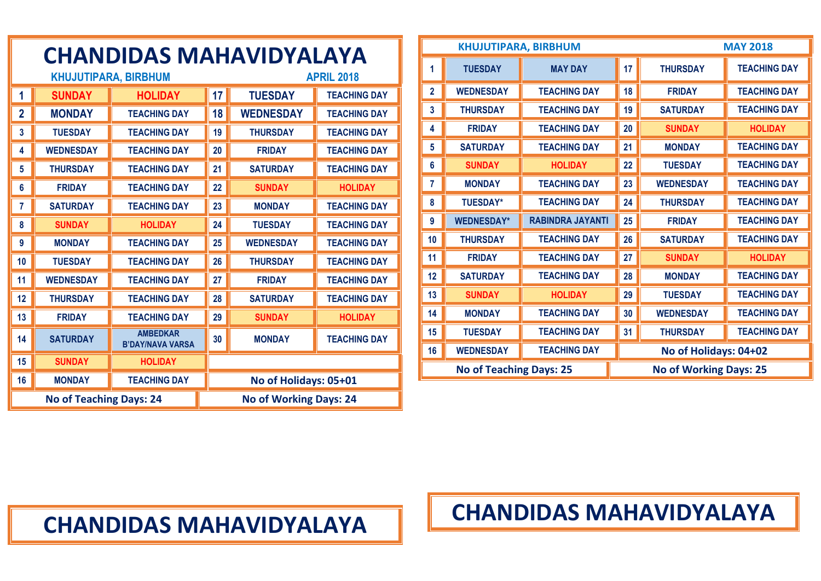|                | <b>CHANDIDAS MAHAVIDYALAYA</b>                   |                                            |    |                               |                     |  |  |
|----------------|--------------------------------------------------|--------------------------------------------|----|-------------------------------|---------------------|--|--|
|                | <b>KHUJUTIPARA, BIRBHUM</b><br><b>APRIL 2018</b> |                                            |    |                               |                     |  |  |
| 1              | <b>SUNDAY</b>                                    | <b>HOLIDAY</b>                             | 17 | <b>TUESDAY</b>                | <b>TEACHING DAY</b> |  |  |
| $\overline{2}$ | <b>MONDAY</b>                                    | <b>TEACHING DAY</b>                        | 18 | <b>WEDNESDAY</b>              | <b>TEACHING DAY</b> |  |  |
| $\overline{3}$ | <b>TUESDAY</b>                                   | <b>TEACHING DAY</b>                        | 19 | <b>THURSDAY</b>               | <b>TEACHING DAY</b> |  |  |
| 4              | <b>WEDNESDAY</b>                                 | <b>TEACHING DAY</b>                        | 20 | <b>FRIDAY</b>                 | <b>TEACHING DAY</b> |  |  |
| 5              | <b>THURSDAY</b>                                  | <b>TEACHING DAY</b>                        | 21 | <b>SATURDAY</b>               | <b>TEACHING DAY</b> |  |  |
| 6              | <b>FRIDAY</b>                                    | <b>TEACHING DAY</b>                        | 22 | <b>SUNDAY</b>                 | <b>HOLIDAY</b>      |  |  |
| 7              | <b>SATURDAY</b>                                  | <b>TEACHING DAY</b>                        | 23 | <b>MONDAY</b>                 | <b>TEACHING DAY</b> |  |  |
| 8              | <b>SUNDAY</b>                                    | <b>HOLIDAY</b>                             | 24 | <b>TUESDAY</b>                | <b>TEACHING DAY</b> |  |  |
| 9              | <b>MONDAY</b>                                    | <b>TEACHING DAY</b>                        | 25 | <b>WEDNESDAY</b>              | <b>TEACHING DAY</b> |  |  |
| 10             | <b>TUESDAY</b>                                   | <b>TEACHING DAY</b>                        | 26 | <b>THURSDAY</b>               | <b>TEACHING DAY</b> |  |  |
| 11             | <b>WEDNESDAY</b>                                 | <b>TEACHING DAY</b>                        | 27 | <b>FRIDAY</b>                 | <b>TEACHING DAY</b> |  |  |
| 12             | <b>THURSDAY</b>                                  | <b>TEACHING DAY</b>                        | 28 | <b>SATURDAY</b>               | <b>TEACHING DAY</b> |  |  |
| 13             | <b>FRIDAY</b>                                    | <b>TEACHING DAY</b>                        | 29 | <b>SUNDAY</b>                 | <b>HOLIDAY</b>      |  |  |
| 14             | <b>SATURDAY</b>                                  | <b>AMBEDKAR</b><br><b>B'DAY/NAVA VARSA</b> | 30 | <b>MONDAY</b>                 | <b>TEACHING DAY</b> |  |  |
| 15             | <b>SUNDAY</b>                                    | <b>HOLIDAY</b>                             |    |                               |                     |  |  |
| 16             | <b>MONDAY</b>                                    | <b>TEACHING DAY</b>                        |    | No of Holidays: 05+01         |                     |  |  |
|                | <b>No of Teaching Days: 24</b>                   |                                            |    | <b>No of Working Days: 24</b> |                     |  |  |

|                | <b>KHUJUTIPARA, BIRBHUM</b>    |                         |    |                               | <b>MAY 2018</b>     |
|----------------|--------------------------------|-------------------------|----|-------------------------------|---------------------|
| 1              | <b>TUESDAY</b>                 | <b>MAY DAY</b>          | 17 | <b>THURSDAY</b>               | <b>TEACHING DAY</b> |
| $\overline{2}$ | <b>WEDNESDAY</b>               | <b>TEACHING DAY</b>     | 18 | <b>FRIDAY</b>                 | <b>TEACHING DAY</b> |
| 3              | <b>THURSDAY</b>                | <b>TEACHING DAY</b>     | 19 | <b>SATURDAY</b>               | <b>TEACHING DAY</b> |
| 4              | <b>FRIDAY</b>                  | <b>TEACHING DAY</b>     | 20 | <b>SUNDAY</b>                 | <b>HOLIDAY</b>      |
| 5              | <b>SATURDAY</b>                | <b>TEACHING DAY</b>     | 21 | <b>MONDAY</b>                 | <b>TEACHING DAY</b> |
| $6\phantom{1}$ | <b>SUNDAY</b>                  | <b>HOLIDAY</b>          | 22 | <b>TUESDAY</b>                | <b>TEACHING DAY</b> |
| 7              | <b>MONDAY</b>                  | <b>TEACHING DAY</b>     | 23 | <b>WEDNESDAY</b>              | <b>TEACHING DAY</b> |
| 8              | <b>TUESDAY*</b>                | <b>TEACHING DAY</b>     | 24 | <b>THURSDAY</b>               | <b>TEACHING DAY</b> |
| 9              | <b>WEDNESDAY*</b>              | <b>RABINDRA JAYANTI</b> | 25 | <b>FRIDAY</b>                 | <b>TEACHING DAY</b> |
| 10             | <b>THURSDAY</b>                | <b>TEACHING DAY</b>     | 26 | <b>SATURDAY</b>               | <b>TEACHING DAY</b> |
| 11             | <b>FRIDAY</b>                  | <b>TEACHING DAY</b>     | 27 | <b>SUNDAY</b>                 | <b>HOLIDAY</b>      |
| 12             | <b>SATURDAY</b>                | <b>TEACHING DAY</b>     | 28 | <b>MONDAY</b>                 | <b>TEACHING DAY</b> |
| 13             | <b>SUNDAY</b>                  | <b>HOLIDAY</b>          | 29 | <b>TUESDAY</b>                | <b>TEACHING DAY</b> |
| 14             | <b>MONDAY</b>                  | <b>TEACHING DAY</b>     | 30 | <b>WEDNESDAY</b>              | <b>TEACHING DAY</b> |
| 15             | <b>TUESDAY</b>                 | <b>TEACHING DAY</b>     | 31 | <b>THURSDAY</b>               | <b>TEACHING DAY</b> |
| 16             | <b>WEDNESDAY</b>               | <b>TEACHING DAY</b>     |    | No of Holidays: 04+02         |                     |
|                | <b>No of Teaching Days: 25</b> |                         |    | <b>No of Working Days: 25</b> |                     |

## **CHANDIDAS MAHAVIDYALAYA**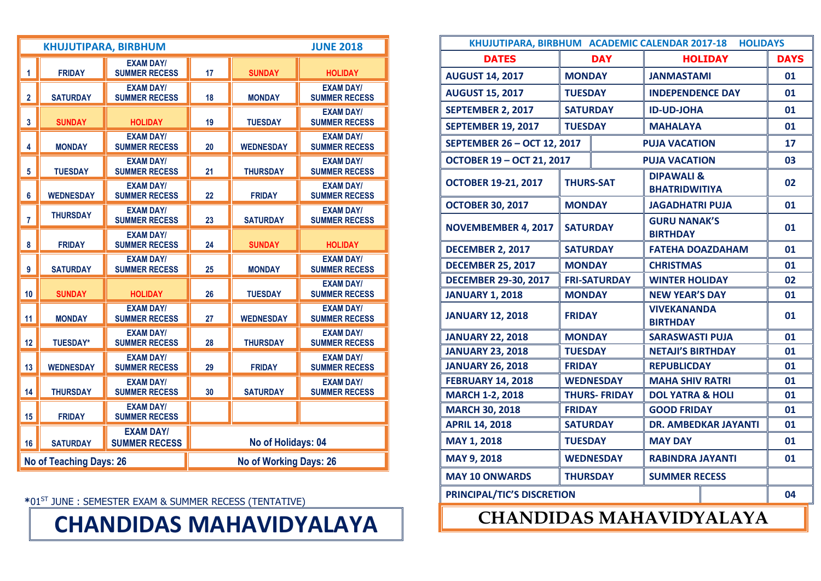|                | <b>JUNE 2018</b><br><b>KHUJUTIPARA, BIRBHUM</b> |                                          |    |                               |                                          |  |  |
|----------------|-------------------------------------------------|------------------------------------------|----|-------------------------------|------------------------------------------|--|--|
| 1              | <b>FRIDAY</b>                                   | <b>EXAM DAY/</b><br><b>SUMMER RECESS</b> | 17 | <b>SUNDAY</b>                 | <b>HOLIDAY</b>                           |  |  |
| $\overline{2}$ | <b>SATURDAY</b>                                 | <b>EXAM DAY/</b><br><b>SUMMER RECESS</b> | 18 | <b>MONDAY</b>                 | <b>EXAM DAY/</b><br><b>SUMMER RECESS</b> |  |  |
| 3              | <b>SUNDAY</b>                                   | <b>HOLIDAY</b>                           | 19 | <b>TUESDAY</b>                | <b>EXAM DAY/</b><br><b>SUMMER RECESS</b> |  |  |
| 4              | <b>MONDAY</b>                                   | <b>EXAM DAY/</b><br><b>SUMMER RECESS</b> | 20 | <b>WEDNESDAY</b>              | <b>EXAM DAY/</b><br><b>SUMMER RECESS</b> |  |  |
| 5              | <b>TUESDAY</b>                                  | <b>EXAM DAY/</b><br><b>SUMMER RECESS</b> | 21 | <b>THURSDAY</b>               | <b>EXAM DAY/</b><br><b>SUMMER RECESS</b> |  |  |
| 6              | <b>WEDNESDAY</b>                                | <b>EXAM DAY/</b><br><b>SUMMER RECESS</b> | 22 | <b>FRIDAY</b>                 | <b>EXAM DAY/</b><br><b>SUMMER RECESS</b> |  |  |
| $\overline{7}$ | <b>THURSDAY</b>                                 | <b>EXAM DAY/</b><br><b>SUMMER RECESS</b> | 23 | <b>SATURDAY</b>               | <b>EXAM DAY/</b><br><b>SUMMER RECESS</b> |  |  |
| 8              | <b>FRIDAY</b>                                   | <b>EXAM DAY/</b><br><b>SUMMER RECESS</b> | 24 | <b>SUNDAY</b>                 | <b>HOLIDAY</b>                           |  |  |
| 9              | <b>SATURDAY</b>                                 | <b>EXAM DAY/</b><br><b>SUMMER RECESS</b> | 25 | <b>MONDAY</b>                 | <b>EXAM DAY/</b><br><b>SUMMER RECESS</b> |  |  |
| 10             | <b>SUNDAY</b>                                   | <b>HOLIDAY</b>                           | 26 | <b>TUESDAY</b>                | <b>EXAM DAY/</b><br><b>SUMMER RECESS</b> |  |  |
| 11             | <b>MONDAY</b>                                   | <b>EXAM DAY/</b><br><b>SUMMER RECESS</b> | 27 | <b>WEDNESDAY</b>              | <b>EXAM DAY/</b><br><b>SUMMER RECESS</b> |  |  |
| 12             | <b>TUESDAY*</b>                                 | <b>EXAM DAY/</b><br><b>SUMMER RECESS</b> | 28 | <b>THURSDAY</b>               | <b>EXAM DAY/</b><br><b>SUMMER RECESS</b> |  |  |
| 13             | <b>WEDNESDAY</b>                                | <b>EXAM DAY/</b><br><b>SUMMER RECESS</b> | 29 | <b>FRIDAY</b>                 | <b>EXAM DAY/</b><br><b>SUMMER RECESS</b> |  |  |
| 14             | <b>THURSDAY</b>                                 | <b>EXAM DAY/</b><br><b>SUMMER RECESS</b> | 30 | <b>SATURDAY</b>               | <b>EXAM DAY/</b><br><b>SUMMER RECESS</b> |  |  |
| 15             | <b>FRIDAY</b>                                   | <b>EXAM DAY/</b><br><b>SUMMER RECESS</b> |    |                               |                                          |  |  |
| 16             | <b>SATURDAY</b>                                 | <b>EXAM DAY/</b><br><b>SUMMER RECESS</b> |    | No of Holidays: 04            |                                          |  |  |
|                | <b>No of Teaching Days: 26</b>                  |                                          |    | <b>No of Working Days: 26</b> |                                          |  |  |

**\***01ST JUNE : SEMESTER EXAM & SUMMER RECESS (TENTATIVE)

#### **CHANDIDAS MAHAVIDYALAYA**

| KHUJUTIPARA, BIRBHUM ACADEMIC CALENDAR 2017-18 HOLIDAYS |                  |                     |                                               |                             |             |
|---------------------------------------------------------|------------------|---------------------|-----------------------------------------------|-----------------------------|-------------|
| <b>DATES</b>                                            |                  | <b>DAY</b>          |                                               | <b>HOLIDAY</b>              | <b>DAYS</b> |
| <b>AUGUST 14, 2017</b>                                  | <b>MONDAY</b>    |                     | <b>JANMASTAMI</b>                             |                             | 01          |
| <b>AUGUST 15, 2017</b>                                  | <b>TUESDAY</b>   |                     | <b>INDEPENDENCE DAY</b>                       |                             | 01          |
| <b>SEPTEMBER 2, 2017</b>                                | <b>SATURDAY</b>  |                     |                                               | <b>ID-UD-JOHA</b>           |             |
| <b>SEPTEMBER 19, 2017</b>                               | <b>TUESDAY</b>   |                     | <b>MAHALAYA</b>                               |                             | 01          |
| SEPTEMBER 26 - OCT 12, 2017                             |                  |                     | <b>PUJA VACATION</b>                          |                             | 17          |
| <b>OCTOBER 19 - OCT 21, 2017</b>                        |                  |                     | <b>PUJA VACATION</b>                          |                             | 03          |
| <b>OCTOBER 19-21, 2017</b>                              | <b>THURS-SAT</b> |                     | <b>DIPAWALI &amp;</b><br><b>BHATRIDWITIYA</b> |                             | 02          |
| <b>OCTOBER 30, 2017</b>                                 | <b>MONDAY</b>    |                     | <b>JAGADHATRI PUJA</b>                        |                             | 01          |
| <b>NOVEMBEMBER 4, 2017</b>                              | <b>SATURDAY</b>  |                     | <b>GURU NANAK'S</b><br><b>BIRTHDAY</b>        |                             | 01          |
| <b>DECEMBER 2, 2017</b>                                 | <b>SATURDAY</b>  |                     | <b>FATEHA DOAZDAHAM</b>                       |                             | 01          |
| <b>DECEMBER 25, 2017</b>                                | <b>MONDAY</b>    |                     | <b>CHRISTMAS</b>                              |                             | 01          |
| <b>DECEMBER 29-30, 2017</b>                             |                  | <b>FRI-SATURDAY</b> | <b>WINTER HOLIDAY</b>                         |                             | 02          |
| <b>JANUARY 1, 2018</b>                                  | <b>MONDAY</b>    |                     | <b>NEW YEAR'S DAY</b>                         |                             | 01          |
| <b>JANUARY 12, 2018</b>                                 | <b>FRIDAY</b>    |                     | <b>VIVEKANANDA</b><br><b>BIRTHDAY</b>         |                             | 01          |
| <b>JANUARY 22, 2018</b>                                 | <b>MONDAY</b>    |                     | <b>SARASWASTI PUJA</b>                        |                             | 01          |
| <b>JANUARY 23, 2018</b>                                 | <b>TUESDAY</b>   |                     | <b>NETAJI'S BIRTHDAY</b>                      |                             | 01          |
| <b>JANUARY 26, 2018</b>                                 | <b>FRIDAY</b>    |                     | <b>REPUBLICDAY</b>                            |                             | 01          |
| <b>FEBRUARY 14, 2018</b>                                |                  | <b>WEDNESDAY</b>    | <b>MAHA SHIV RATRI</b>                        |                             | 01          |
| <b>MARCH 1-2, 2018</b>                                  |                  | <b>THURS-FRIDAY</b> | <b>DOL YATRA &amp; HOLI</b>                   |                             | 01          |
| <b>MARCH 30, 2018</b>                                   | <b>FRIDAY</b>    |                     | <b>GOOD FRIDAY</b>                            |                             | 01          |
| <b>APRIL 14, 2018</b>                                   | <b>SATURDAY</b>  |                     |                                               | <b>DR. AMBEDKAR JAYANTI</b> | 01          |
| MAY 1, 2018                                             | <b>TUESDAY</b>   |                     | <b>MAY DAY</b>                                |                             | 01          |
| MAY 9, 2018                                             |                  | <b>WEDNESDAY</b>    |                                               | <b>RABINDRA JAYANTI</b>     |             |
| <b>MAY 10 ONWARDS</b>                                   | <b>THURSDAY</b>  |                     | <b>SUMMER RECESS</b>                          |                             |             |
| PRINCIPAL/TIC'S DISCRETION                              |                  |                     |                                               |                             | 04          |
|                                                         |                  |                     |                                               |                             |             |

#### **CHANDIDAS MAHAVIDYALAYA**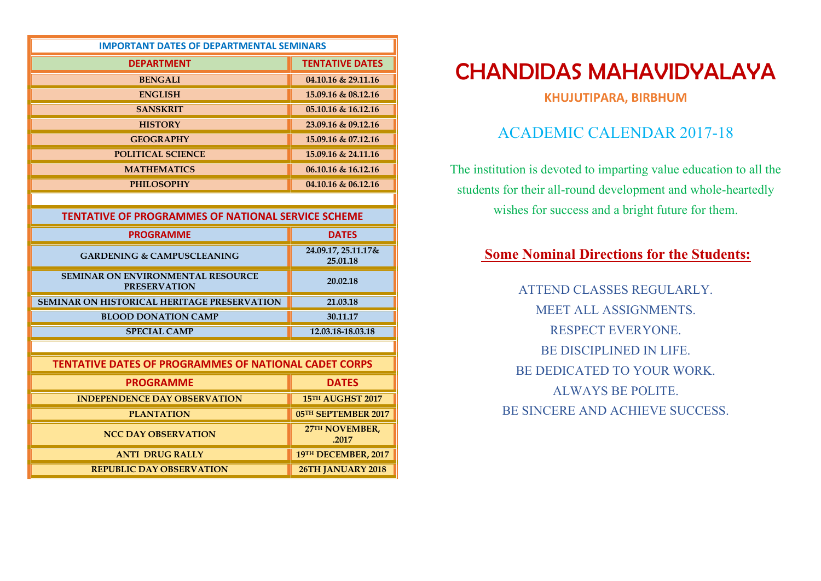| <b>IMPORTANT DATES OF DEPARTMENTAL SEMINARS</b>                 |                                 |  |  |  |  |
|-----------------------------------------------------------------|---------------------------------|--|--|--|--|
| <b>DEPARTMENT</b>                                               | <b>TENTATIVE DATES</b>          |  |  |  |  |
| <b>BENGALI</b>                                                  | 04.10.16 & 29.11.16             |  |  |  |  |
| <b>ENGLISH</b>                                                  | 15.09.16 & 08.12.16             |  |  |  |  |
| <b>SANSKRIT</b>                                                 | 05.10.16 & 16.12.16             |  |  |  |  |
| <b>HISTORY</b>                                                  | 23.09.16 & 09.12.16             |  |  |  |  |
| <b>GEOGRAPHY</b>                                                | 15.09.16 & 07.12.16             |  |  |  |  |
| <b>POLITICAL SCIENCE</b>                                        | 15.09.16 & 24.11.16             |  |  |  |  |
| <b>MATHEMATICS</b>                                              | 06.10.16 & 16.12.16             |  |  |  |  |
| <b>PHILOSOPHY</b>                                               | 04.10.16 & 06.12.16             |  |  |  |  |
|                                                                 |                                 |  |  |  |  |
| <b>TENTATIVE OF PROGRAMMES OF NATIONAL SERVICE SCHEME</b>       |                                 |  |  |  |  |
| <b>PROGRAMME</b>                                                | <b>DATES</b>                    |  |  |  |  |
| <b>GARDENING &amp; CAMPUSCLEANING</b>                           | 24.09.17, 25.11.17&<br>25.01.18 |  |  |  |  |
| <b>SEMINAR ON ENVIRONMENTAL RESOURCE</b><br><b>PRESERVATION</b> | 20.02.18                        |  |  |  |  |
| <b>SEMINAR ON HISTORICAL HERITAGE PRESERVATION</b>              | 21.03.18                        |  |  |  |  |
| <b>BLOOD DONATION CAMP</b>                                      | 30.11.17                        |  |  |  |  |
| <b>SPECIAL CAMP</b>                                             | 12.03.18-18.03.18               |  |  |  |  |
|                                                                 |                                 |  |  |  |  |
| <b>TENTATIVE DATES OF PROGRAMMES OF NATIONAL CADET CORPS</b>    |                                 |  |  |  |  |
| <b>PROGRAMME</b>                                                | <b>DATES</b>                    |  |  |  |  |
| <b>INDEPENDENCE DAY OBSERVATION</b>                             | 15TH AUGHST 2017                |  |  |  |  |
| <b>PLANTATION</b>                                               | 05TH SEPTEMBER 2017             |  |  |  |  |
| <b>NCC DAY OBSERVATION</b>                                      | 27TH NOVEMBER,<br>.2017         |  |  |  |  |
| <b>ANTI DRUG RALLY</b>                                          | 19TH DECEMBER, 2017             |  |  |  |  |
| <b>REPUBLIC DAY OBSERVATION</b>                                 | 26TH JANUARY 2018               |  |  |  |  |

**KHUJUTIPARA, BIRBHUM** 

#### ACADEMIC CALENDAR 2017-18

The institution is devoted to imparting value education to all the students for their all-round development and whole-heartedly wishes for success and a bright future for them.

#### **Some Nominal Directions for the Students:**

ATTEND CLASSES REGULARLY. MEET ALL ASSIGNMENTS. RESPECT EVERYONE. BE DISCIPLINED IN LIFE. BE DEDICATED TO YOUR WORK. ALWAYS BE POLITE. BE SINCERE AND ACHIEVE SUCCESS.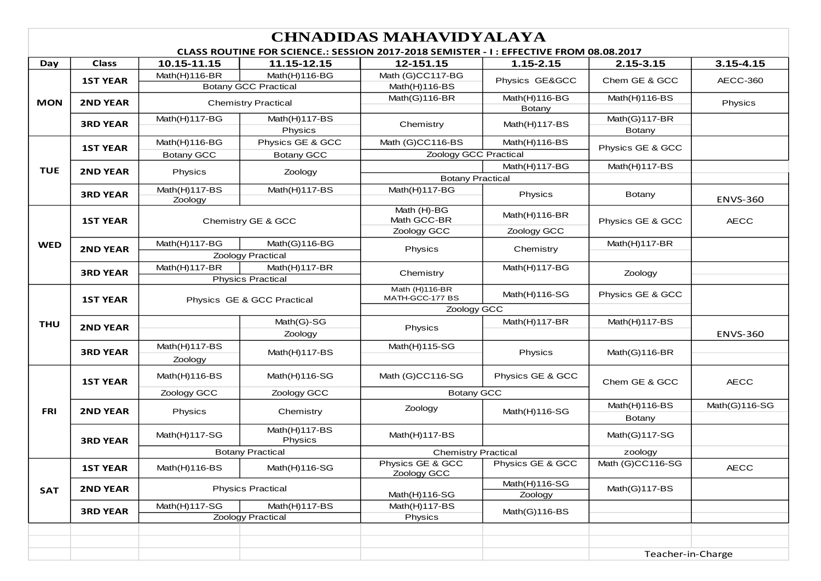|            | <b>CHNADIDAS MAHAVIDYALAYA</b> |                            |                                              |                                                                                       |                         |                             |                 |  |  |
|------------|--------------------------------|----------------------------|----------------------------------------------|---------------------------------------------------------------------------------------|-------------------------|-----------------------------|-----------------|--|--|
|            |                                |                            |                                              | CLASS ROUTINE FOR SCIENCE.: SESSION 2017-2018 SEMISTER - I: EFFECTIVE FROM 08.08.2017 |                         |                             |                 |  |  |
| Day        | <b>Class</b>                   | 10.15-11.15                | 11.15-12.15                                  | 12-151.15                                                                             | 1.15-2.15               | 2.15-3.15                   | $3.15 - 4.15$   |  |  |
|            | <b>1ST YEAR</b>                | Math(H)116-BR              | Math(H)116-BG<br><b>Botany GCC Practical</b> | Math (G)CC117-BG<br>Math(H)116-BS                                                     | Physics GE&GCC          | Chem GE & GCC               | <b>AECC-360</b> |  |  |
| <b>MON</b> | <b>2ND YEAR</b>                |                            | <b>Chemistry Practical</b>                   | Math(G)116-BR                                                                         | Math(H)116-BG<br>Botany | Math(H)116-BS               | Physics         |  |  |
|            | <b>3RD YEAR</b>                | Math(H)117-BG              | Math(H)117-BS<br>Physics                     | Chemistry                                                                             | Math $(H)$ 117-BS       | Math(G)117-BR<br>Botany     |                 |  |  |
|            |                                | Math(H)116-BG              | Physics GE & GCC                             | Math (G)CC116-BS                                                                      | Math(H)116-BS           |                             |                 |  |  |
|            | <b>1ST YEAR</b>                | <b>Botany GCC</b>          | <b>Botany GCC</b>                            | Zoology GCC Practical                                                                 |                         | Physics GE & GCC            |                 |  |  |
| <b>TUE</b> | <b>2ND YEAR</b>                | Physics                    |                                              |                                                                                       | Math(H)117-BG           | Math(H)117-BS               |                 |  |  |
|            |                                |                            | Zoology                                      | <b>Botany Practical</b>                                                               |                         |                             |                 |  |  |
|            | <b>3RD YEAR</b>                | Math(H)117-BS<br>Zoology   | Math(H)117-BS                                | Math(H)117-BG                                                                         | Physics                 | Botany                      | <b>ENVS-360</b> |  |  |
|            | <b>1ST YEAR</b>                | Chemistry GE & GCC         |                                              | Math (H)-BG<br>Math GCC-BR                                                            | Math(H)116-BR           | Physics GE & GCC            | <b>AECC</b>     |  |  |
|            |                                |                            |                                              | Zoology GCC                                                                           | Zoology GCC             |                             |                 |  |  |
| <b>WED</b> | <b>2ND YEAR</b>                | Math(H)117-BG              | Math(G)116-BG                                | Physics                                                                               | Chemistry               | Math(H)117-BR               |                 |  |  |
|            |                                | Zoology Practical          |                                              |                                                                                       |                         |                             |                 |  |  |
|            | <b>3RD YEAR</b>                | Math(H)117-BR              | Math(H)117-BR                                | Chemistry                                                                             | Math(H)117-BG           | Zoology                     |                 |  |  |
|            |                                |                            | <b>Physics Practical</b>                     | Math (H)116-BR                                                                        |                         |                             |                 |  |  |
|            | <b>1ST YEAR</b>                | Physics GE & GCC Practical |                                              | MATH-GCC-177 BS                                                                       | Math $(H)$ 116-SG       | Physics GE & GCC            |                 |  |  |
|            |                                |                            |                                              | Zoology GCC                                                                           |                         |                             |                 |  |  |
| <b>THU</b> | <b>2ND YEAR</b>                |                            | Math(G)-SG                                   | Physics                                                                               | Math $(H)$ 117-BR       | Math $(H)$ 117-BS           |                 |  |  |
|            |                                |                            | Zoology                                      |                                                                                       |                         |                             | <b>ENVS-360</b> |  |  |
|            | <b>3RD YEAR</b>                | Math(H)117-BS              | Math $(H)$ 117-BS                            | Math(H)115-SG                                                                         | Physics                 | Math $(G)$ 116-BR           |                 |  |  |
|            |                                | Zoology                    |                                              |                                                                                       |                         |                             |                 |  |  |
|            | <b>1ST YEAR</b>                | Math $(H)$ 116-BS          | Math(H)116-SG                                | Math (G)CC116-SG                                                                      | Physics GE & GCC        | Chem GE & GCC               | <b>AECC</b>     |  |  |
|            |                                | Zoology GCC                | Zoology GCC                                  | <b>Botany GCC</b>                                                                     |                         |                             |                 |  |  |
| <b>FRI</b> | <b>2ND YEAR</b>                | Physics                    | Chemistry                                    | Zoology                                                                               | Math $(H)$ 116-SG       | Math $(H)$ 116-BS<br>Botany | Math(G)116-SG   |  |  |
|            | <b>3RD YEAR</b>                | Math(H)117-SG              | Math(H)117-BS<br>Physics                     | Math(H)117-BS                                                                         |                         | Math(G)117-SG               |                 |  |  |
|            |                                |                            | <b>Botany Practical</b>                      | <b>Chemistry Practical</b>                                                            |                         | zoology                     |                 |  |  |
|            | <b>1ST YEAR</b>                | Math(H)116-BS              | Math(H)116-SG                                | Physics GE & GCC<br>Zoology GCC                                                       | Physics GE & GCC        | Math (G)CC116-SG            | <b>AECC</b>     |  |  |
| <b>SAT</b> | <b>2ND YEAR</b>                |                            | <b>Physics Practical</b>                     |                                                                                       | Math(H)116-SG           | Math(G)117-BS               |                 |  |  |
|            |                                |                            |                                              | Math(H)116-SG                                                                         | Zoology                 |                             |                 |  |  |
|            | <b>3RD YEAR</b>                | Math(H)117-SG              | Math(H)117-BS<br><b>Zoology Practical</b>    | Math(H)117-BS                                                                         | Math(G)116-BS           |                             |                 |  |  |
|            |                                |                            |                                              | Physics                                                                               |                         |                             |                 |  |  |
|            |                                |                            |                                              |                                                                                       |                         |                             |                 |  |  |
|            |                                |                            |                                              |                                                                                       |                         | Teacher-in-Charge           |                 |  |  |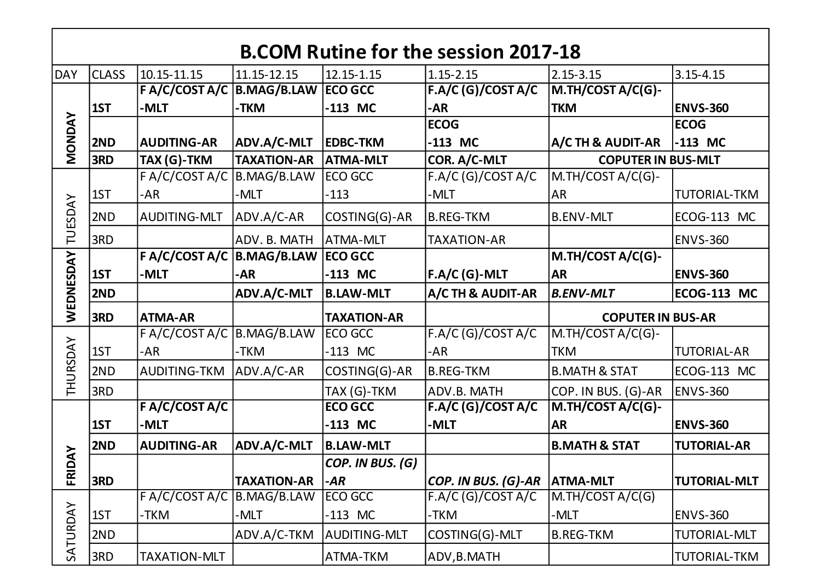|                | <b>B.COM Rutine for the session 2017-18</b> |                                        |                    |                     |                                      |                           |                     |  |  |  |
|----------------|---------------------------------------------|----------------------------------------|--------------------|---------------------|--------------------------------------|---------------------------|---------------------|--|--|--|
| <b>DAY</b>     | <b>CLASS</b>                                | 10.15-11.15                            | 11.15-12.15        | 12.15-1.15          | $1.15 - 2.15$                        | $2.15 - 3.15$             | $3.15 - 4.15$       |  |  |  |
|                |                                             | F A/C/COST A/C   B.MAG/B.LAW   ECO GCC |                    |                     | FA/C(G)/COST A/C                     | M.TH/COST A/C(G)-         |                     |  |  |  |
|                | 1ST                                         | -MLT                                   | -TKM               | $-113$ MC           | -AR                                  | <b>TKM</b>                | <b>ENVS-360</b>     |  |  |  |
|                |                                             |                                        |                    |                     | <b>ECOG</b>                          |                           | <b>ECOG</b>         |  |  |  |
| <b>MONDAY</b>  | 2ND                                         | <b>AUDITING-AR</b>                     | ADV.A/C-MLT        | <b>EDBC-TKM</b>     | $-113$ MC                            | A/C TH & AUDIT-AR         | $-113$ MC           |  |  |  |
|                | 3RD                                         | TAX (G)-TKM                            | <b>TAXATION-AR</b> | <b>ATMA-MLT</b>     | COR. A/C-MLT                         | <b>COPUTER IN BUS-MLT</b> |                     |  |  |  |
|                |                                             | F A/C/COST A/C   B.MAG/B.LAW           |                    | ECO GCC             | F.A/C(G)/COST A/C                    | M.TH/COST A/C(G)-         |                     |  |  |  |
|                | 1ST                                         | -AR                                    | -MLT               | $-113$              | -MLT                                 | <b>AR</b>                 | <b>TUTORIAL-TKM</b> |  |  |  |
| <b>TUESDAY</b> | 2ND                                         | <b>AUDITING-MLT</b>                    | ADV.A/C-AR         | COSTING(G)-AR       | <b>B.REG-TKM</b>                     | <b>B.ENV-MLT</b>          | ECOG-113 MC         |  |  |  |
|                | 3RD                                         |                                        | ADV. B. MATH       | <b>ATMA-MLT</b>     | <b>TAXATION-AR</b>                   |                           | <b>ENVS-360</b>     |  |  |  |
|                |                                             | F A/C/COST A/C   B.MAG/B.LAW   ECO GCC |                    |                     |                                      | M.TH/COST A/C(G)-         |                     |  |  |  |
|                | 1ST                                         | -MLT                                   | -AR                | $-113$ MC           | <b>F.A/C (G)-MLT</b>                 | <b>AR</b>                 | <b>ENVS-360</b>     |  |  |  |
|                | 2ND                                         |                                        | ADV.A/C-MLT        | <b>B.LAW-MLT</b>    | A/C TH & AUDIT-AR                    | <b>B.ENV-MLT</b>          | <b>ECOG-113 MC</b>  |  |  |  |
| WEDNESDAY      |                                             |                                        |                    |                     |                                      | <b>COPUTER IN BUS-AR</b>  |                     |  |  |  |
|                | 3RD                                         | <b>ATMA-AR</b>                         |                    | <b>TAXATION-AR</b>  |                                      |                           |                     |  |  |  |
|                |                                             | FA/C/COSTA/C                           | B.MAG/B.LAW        | ECO GCC             | F.A/C(G)/COST A/C                    | M.TH/COST A/C(G)-         |                     |  |  |  |
|                | 1ST                                         | -AR                                    | -TKM               | $-113$ MC           | -AR                                  | <b>TKM</b>                | <b>TUTORIAL-AR</b>  |  |  |  |
|                | 2ND                                         | AUDITING-TKM                           | ADV.A/C-AR         | COSTING(G)-AR       | <b>B.REG-TKM</b>                     | <b>B.MATH &amp; STAT</b>  | ECOG-113 MC         |  |  |  |
| THURSDAY       | 3RD                                         |                                        |                    | TAX (G)-TKM         | ADV.B. MATH                          | COP. IN BUS. (G)-AR       | <b>ENVS-360</b>     |  |  |  |
|                |                                             | F A/C/COST A/C                         |                    | <b>ECO GCC</b>      | FA/C(G)/COST A/C                     | M.TH/COST A/C(G)-         |                     |  |  |  |
|                | 1ST                                         | -MLT                                   |                    | $-113$ MC           | -MLT                                 | <b>AR</b>                 | <b>ENVS-360</b>     |  |  |  |
|                | 2ND                                         | <b>AUDITING-AR</b>                     | ADV.A/C-MLT        | <b>B.LAW-MLT</b>    |                                      | <b>B.MATH &amp; STAT</b>  | <b>TUTORIAL-AR</b>  |  |  |  |
| <b>NAO</b>     |                                             |                                        |                    | COP. IN BUS. (G)    |                                      |                           |                     |  |  |  |
| ER             | 3RD                                         |                                        | <b>TAXATION-AR</b> | -AR                 | <i>COP. IN BUS. (G)-AR</i>  ATMA-MLT |                           | <b>TUTORIAL-MLT</b> |  |  |  |
|                |                                             | F A/C/COST A/C B.MAG/B.LAW             |                    | ECO GCC             | F.A/C (G)/COST A/C                   | M.TH/COST A/C(G)          |                     |  |  |  |
|                | 1ST                                         | -TKM                                   | -MLT               | $-113$ MC           | -TKM                                 | -MLT                      | <b>ENVS-360</b>     |  |  |  |
| SATURDAY       | 2ND                                         |                                        | ADV.A/C-TKM        | <b>AUDITING-MLT</b> | COSTING(G)-MLT                       | <b>B.REG-TKM</b>          | <b>TUTORIAL-MLT</b> |  |  |  |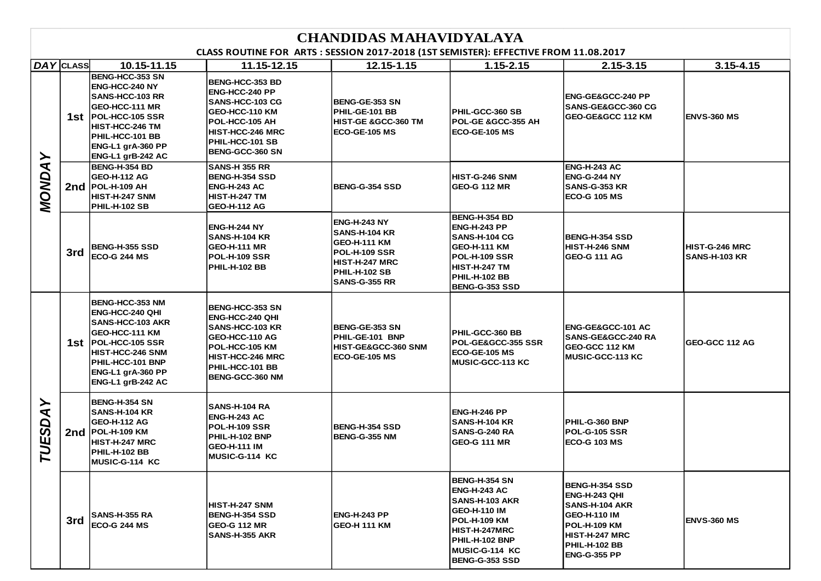#### **CLASS ROUTINE FOR ARTS : SESSION 2017-2018 (1ST SEMISTER): EFFECTIVE FROM 11.08.2017**

| DAY CLASS          |     | 10.15-11.15                                                                                                                                                                                            | 11.15-12.15                                                                                                                                                              | 12.15-1.15                                                                                                                                     | $1.15 - 2.15$                                                                                                                                                                                    | 2.15-3.15                                                                                                                                                                | $3.15 - 4.15$                          |
|--------------------|-----|--------------------------------------------------------------------------------------------------------------------------------------------------------------------------------------------------------|--------------------------------------------------------------------------------------------------------------------------------------------------------------------------|------------------------------------------------------------------------------------------------------------------------------------------------|--------------------------------------------------------------------------------------------------------------------------------------------------------------------------------------------------|--------------------------------------------------------------------------------------------------------------------------------------------------------------------------|----------------------------------------|
| ≻<br><b>MONDA</b>  |     | <b>BENG-HCC-353 SN</b><br>ENG-HCC-240 NY<br><b>SANS-HCC-103 RR</b><br>GEO-HCC-111 MR<br>1st POL-HCC-105 SSR<br>HIST-HCC-246 TM<br>PHIL-HCC-101 BB<br>ENG-L1 grA-360 PP<br>ENG-L1 grB-242 AC            | <b>BENG-HCC-353 BD</b><br>ENG-HCC-240 PP<br>SANS-HCC-103 CG<br>GEO-HCC-110 KM<br>POL-HCC-105 AH<br><b>HIST-HCC-246 MRC</b><br>PHIL-HCC-101 SB<br><b>BENG-GCC-360 SN</b>  | BENG-GE-353 SN<br>PHIL-GE-101 BB<br><b>HIST-GE &amp;GCC-360 TM</b><br><b>ECO-GE-105 MS</b>                                                     | PHIL-GCC-360 SB<br>POL-GE &GCC-355 AH<br><b>ECO-GE-105 MS</b>                                                                                                                                    | ENG-GE&GCC-240 PP<br><b>SANS-GE&amp;GCC-360 CG</b><br>GEO-GE&GCC 112 KM                                                                                                  | <b>ENVS-360 MS</b>                     |
|                    | 2nd | BENG-H-354 BD<br><b>GEO-H-112 AG</b><br><b>POL-H-109 AH</b><br>HIST-H-247 SNM<br><b>PHIL-H-102 SB</b>                                                                                                  | <b>SANS-H 355 RR</b><br><b>BENG-H-354 SSD</b><br><b>ENG-H-243 AC</b><br><b>HIST-H-247 TM</b><br><b>GEO-H-112 AG</b>                                                      | <b>BENG-G-354 SSD</b>                                                                                                                          | HIST-G-246 SNM<br><b>GEO-G 112 MR</b>                                                                                                                                                            | <b>ENG-H-243 AC</b><br><b>ENG-G-244 NY</b><br>SANS-G-353 KR<br><b>ECO-G 105 MS</b>                                                                                       |                                        |
|                    | 3rd | <b>BENG-H-355 SSD</b><br><b>ECO-G 244 MS</b>                                                                                                                                                           | <b>ENG-H-244 NY</b><br><b>SANS-H-104 KR</b><br><b>GEO-H-111 MR</b><br><b>POL-H-109 SSR</b><br><b>PHIL-H-102 BB</b>                                                       | <b>ENG-H-243 NY</b><br><b>SANS-H-104 KR</b><br><b>GEO-H-111 KM</b><br><b>POL-H-109 SSR</b><br>HIST-H-247 MRC<br>PHIL-H-102 SB<br>SANS-G-355 RR | BENG-H-354 BD<br><b>ENG-H-243 PP</b><br><b>SANS-H-104 CG</b><br><b>GEO-H-111 KM</b><br><b>POL-H-109 SSR</b><br><b>HIST-H-247 TM</b><br>PHIL-H-102 BB<br><b>BENG-G-353 SSD</b>                    | <b>BENG-H-354 SSD</b><br>HIST-H-246 SNM<br><b>GEO-G 111 AG</b>                                                                                                           | HIST-G-246 MRC<br><b>SANS-H-103 KR</b> |
| ≻<br><b>TUESDA</b> |     | <b>BENG-HCC-353 NM</b><br>ENG-HCC-240 QHI<br><b>SANS-HCC-103 AKR</b><br>GEO-HCC-111 KM<br>1st POL-HCC-105 SSR<br><b>HIST-HCC-246 SNM</b><br>PHIL-HCC-101 BNP<br>ENG-L1 grA-360 PP<br>ENG-L1 grB-242 AC | <b>BENG-HCC-353 SN</b><br>ENG-HCC-240 QHI<br>SANS-HCC-103 KR<br>GEO-HCC-110 AG<br>POL-HCC-105 KM<br><b>HIST-HCC-246 MRC</b><br>PHIL-HCC-101 BB<br><b>BENG-GCC-360 NM</b> | <b>BENG-GE-353 SN</b><br>PHIL-GE-101 BNP<br>HIST-GE&GCC-360 SNM<br><b>ECO-GE-105 MS</b>                                                        | PHIL-GCC-360 BB<br>POL-GE&GCC-355 SSR<br><b>ECO-GE-105 MS</b><br><b>MUSIC-GCC-113 KC</b>                                                                                                         | ENG-GE&GCC-101 AC<br><b>SANS-GE&amp;GCC-240 RA</b><br>GEO-GCC 112 KM<br><b>MUSIC-GCC-113 KC</b>                                                                          | GEO-GCC 112 AG                         |
|                    | 2nd | <b>BENG-H-354 SN</b><br>SANS-H-104 KR<br><b>GEO-H-112 AG</b><br><b>POL-H-109 KM</b><br>HIST-H-247 MRC<br><b>PHIL-H-102 BB</b><br>MUSIC-G-114 KC                                                        | <b>SANS-H-104 RA</b><br><b>ENG-H-243 AC</b><br><b>POL-H-109 SSR</b><br>PHIL-H-102 BNP<br><b>GEO-H-111 IM</b><br>MUSIC-G-114 KC                                           | <b>BENG-H-354 SSD</b><br>BENG-G-355 NM                                                                                                         | <b>ENG-H-246 PP</b><br><b>SANS-H-104 KR</b><br>SANS-G-240 RA<br><b>GEO-G 111 MR</b>                                                                                                              | PHIL-G-360 BNP<br><b>POL-G-105 SSR</b><br><b>ECO-G 103 MS</b>                                                                                                            |                                        |
|                    | 3rd | SANS-H-355 RA<br><b>ECO-G 244 MS</b>                                                                                                                                                                   | HIST-H-247 SNM<br><b>BENG-H-354 SSD</b><br><b>GEO-G 112 MR</b><br>SANS-H-355 AKR                                                                                         | <b>ENG-H-243 PP</b><br><b>GEO-H 111 KM</b>                                                                                                     | <b>BENG-H-354 SN</b><br><b>ENG-H-243 AC</b><br><b>SANS-H-103 AKR</b><br><b>GEO-H-110 IM</b><br><b>POL-H-109 KM</b><br>HIST-H-247MRC<br>PHIL-H-102 BNP<br>MUSIC-G-114 KC<br><b>BENG-G-353 SSD</b> | <b>BENG-H-354 SSD</b><br> ENG-H-243 QHI<br>SANS-H-104 AKR<br><b>GEO-H-110 IM</b><br><b>POL-H-109 KM</b><br>HIST-H-247 MRC<br><b>PHIL-H-102 BB</b><br><b>ENG-G-355 PP</b> | <b>ENVS-360 MS</b>                     |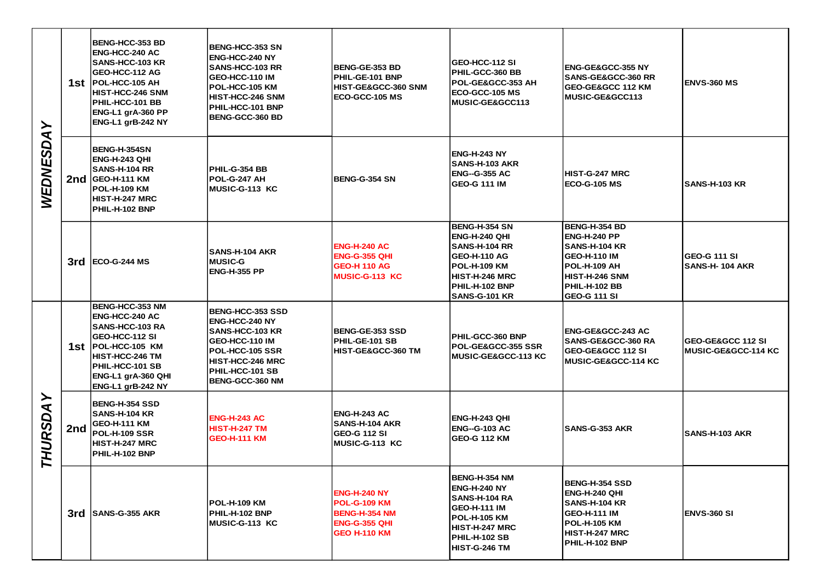| ≻<br><b>WEDNESDA</b> |     | <b>BENG-HCC-353 BD</b><br><b>ENG-HCC-240 AC</b><br><b>SANS-HCC-103 KR</b><br>GEO-HCC-112 AG<br>1st POL-HCC-105 AH<br>HIST-HCC-246 SNM<br>PHIL-HCC-101 BB<br>ENG-L1 grA-360 PP<br>ENG-L1 grB-242 NY | <b>BENG-HCC-353 SN</b><br><b>ENG-HCC-240 NY</b><br><b>SANS-HCC-103 RR</b><br>GEO-HCC-110 IM<br>POL-HCC-105 KM<br><b>HIST-HCC-246 SNM</b><br>PHIL-HCC-101 BNP<br>BENG-GCC-360 BD         | <b>BENG-GE-353 BD</b><br>PHIL-GE-101 BNP<br>HIST-GE&GCC-360 SNM<br>ECO-GCC-105 MS                                 | GEO-HCC-112 SI<br><b>PHIL-GCC-360 BB</b><br>POL-GE&GCC-353 AH<br>ECO-GCC-105 MS<br><b>MUSIC-GE&amp;GCC113</b>                                                           | <b>ENG-GE&amp;GCC-355 NY</b><br><b>SANS-GE&amp;GCC-360 RR</b><br><b>GEO-GE&amp;GCC 112 KM</b><br><b>MUSIC-GE&amp;GCC113</b>                                                 | <b>ENVS-360 MS</b>                                              |
|----------------------|-----|----------------------------------------------------------------------------------------------------------------------------------------------------------------------------------------------------|-----------------------------------------------------------------------------------------------------------------------------------------------------------------------------------------|-------------------------------------------------------------------------------------------------------------------|-------------------------------------------------------------------------------------------------------------------------------------------------------------------------|-----------------------------------------------------------------------------------------------------------------------------------------------------------------------------|-----------------------------------------------------------------|
|                      |     | BENG-H-354SN<br>ENG-H-243 QHI<br><b>SANS-H-104 RR</b><br>2nd GEO-H-111 KM<br><b>POL-H-109 KM</b><br><b>HIST-H-247 MRC</b><br>PHIL-H-102 BNP                                                        | <b>PHIL-G-354 BB</b><br>POL-G-247 AH<br><b>IMUSIC-G-113 KC</b>                                                                                                                          | <b>BENG-G-354 SN</b>                                                                                              | ENG-H-243 NY<br><b>SANS-H-103 AKR</b><br><b>ENG--G-355 AC</b><br>GEO-G 111 IM                                                                                           | HIST-G-247 MRC<br>ECO-G-105 MS                                                                                                                                              | <b>SANS-H-103 KR</b>                                            |
|                      |     | $3rd$ ECO-G-244 MS                                                                                                                                                                                 | <b>SANS-H-104 AKR</b><br><b>MUSIC-G</b><br>ENG-H-355 PP                                                                                                                                 | <b>ENG-H-240 AC</b><br><b>ENG-G-355 QHI</b><br><b>GEO-H 110 AG</b><br><b>MUSIC-G-113 KC</b>                       | <b>BENG-H-354 SN</b><br><b>ENG-H-240 QHI</b><br><b>SANS-H-104 RR</b><br>GEO-H-110 AG<br>POL-H-109 KM<br><b>HIST-H-246 MRC</b><br>PHIL-H-102 BNP<br><b>SANS-G-101 KR</b> | <b>BENG-H-354 BD</b><br><b>ENG-H-240 PP</b><br><b>SANS-H-104 KR</b><br><b>GEO-H-110 IM</b><br>POL-H-109 AH<br><b>HIST-H-246 SNM</b><br>PHIL-H-102 BB<br><b>GEO-G 111 SI</b> | <b>GEO-G 111 SI</b><br><b>SANS-H- 104 AKR</b>                   |
| ≻<br><b>HURSDA</b>   |     | BENG-HCC-353 NM<br><b>ENG-HCC-240 AC</b><br><b>SANS-HCC-103 RA</b><br>GEO-HCC-112 SI<br>1st  POL-HCC-105 KM<br>HIST-HCC-246 TM<br>PHIL-HCC-101 SB<br>ENG-L1 grA-360 QHI<br>ENG-L1 grB-242 NY       | <b>BENG-HCC-353 SSD</b><br><b>ENG-HCC-240 NY</b><br><b>SANS-HCC-103 KR</b><br>GEO-HCC-110 IM<br><b>POL-HCC-105 SSR</b><br>HIST-HCC-246 MRC<br>PHIL-HCC-101 SB<br><b>BENG-GCC-360 NM</b> | <b>BENG-GE-353 SSD</b><br>PHIL-GE-101 SB<br>HIST-GE&GCC-360 TM                                                    | <b>PHIL-GCC-360 BNP</b><br>POL-GE&GCC-355 SSR<br><b>MUSIC-GE&amp;GCC-113 KC</b>                                                                                         | <b>ENG-GE&amp;GCC-243 AC</b><br><b>SANS-GE&amp;GCC-360 RA</b><br><b>GEO-GE&amp;GCC 112 SI</b><br>MUSIC-GE&GCC-114 KC                                                        | <b>GEO-GE&amp;GCC 112 SI</b><br><b>IMUSIC-GE&amp;GCC-114 KC</b> |
|                      | 2nd | <b>BENG-H-354 SSD</b><br><b>SANS-H-104 KR</b><br><b>GEO-H-111 KM</b><br>POL-H-109 SSR<br>HIST-H-247 MRC<br>PHIL-H-102 BNP                                                                          | <b>ENG-H-243 AC</b><br><b>HIST-H-247 TM</b><br><b>GEO-H-111 KM</b>                                                                                                                      | <b>ENG-H-243 AC</b><br>SANS-H-104 AKR<br><b>GEO-G 112 SI</b><br>MUSIC-G-113 KC                                    | ENG-H-243 QHI<br><b>ENG--G-103 AC</b><br><b>GEO-G 112 KM</b>                                                                                                            | SANS-G-353 AKR                                                                                                                                                              | <b>SANS-H-103 AKR</b>                                           |
|                      |     | 3rd SANS-G-355 AKR                                                                                                                                                                                 | IPOL-H-109 KM<br>PHIL-H-102 BNP<br>MUSIC-G-113 KC                                                                                                                                       | <b>ENG-H-240 NY</b><br><b>POL-G-109 KM</b><br><b>BENG-H-354 NM</b><br><b>ENG-G-355 QHI</b><br><b>GEO H-110 KM</b> | <b>BENG-H-354 NM</b><br><b>ENG-H-240 NY</b><br>SANS-H-104 RA<br>GEO-H-111 IM<br>POL-H-105 KM<br>HIST-H-247 MRC<br>PHIL-H-102 SB<br><b>HIST-G-246 TM</b>                 | <b>BENG-H-354 SSD</b><br>ENG-H-240 QHI<br><b>SANS-H-104 KR</b><br><b>GEO-H-111 IM</b><br>POL-H-105 KM<br><b>HIST-H-247 MRC</b><br>PHIL-H-102 BNP                            | <b>ENVS-360 SI</b>                                              |